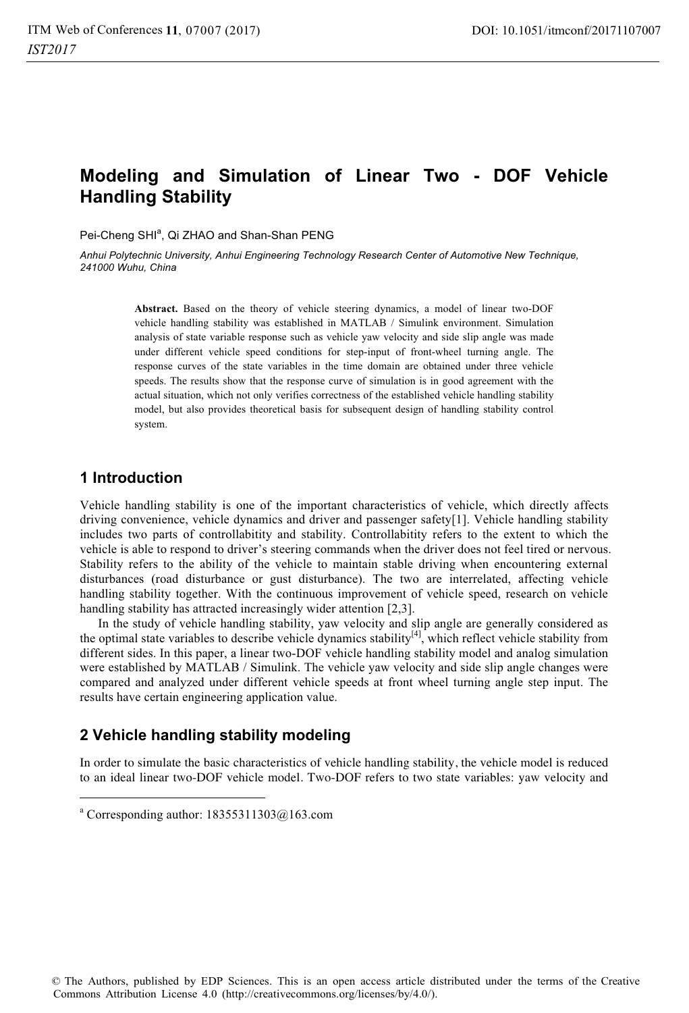# **Modeling and Simulation of Linear Two - DOF Vehicle Handling Stability**

Pei-Cheng SHI<sup>a</sup>, Qi ZHAO and Shan-Shan PENG

*Anhui Polytechnic University, Anhui Engineering Technology Research Center of Automotive New Technique, 241000 Wuhu, China* 

> **Abstract.** Based on the theory of vehicle steering dynamics, a model of linear two-DOF vehicle handling stability was established in MATLAB / Simulink environment. Simulation analysis of state variable response such as vehicle yaw velocity and side slip angle was made under different vehicle speed conditions for step-input of front-wheel turning angle. The response curves of the state variables in the time domain are obtained under three vehicle speeds. The results show that the response curve of simulation is in good agreement with the actual situation, which not only verifies correctness of the established vehicle handling stability model, but also provides theoretical basis for subsequent design of handling stability control system.

### **1 Introduction**

 $\overline{a}$ 

Vehicle handling stability is one of the important characteristics of vehicle, which directly affects driving convenience, vehicle dynamics and driver and passenger safety[1]. Vehicle handling stability includes two parts of controllabitity and stability. Controllabitity refers to the extent to which the vehicle is able to respond to driver's steering commands when the driver does not feel tired or nervous. Stability refers to the ability of the vehicle to maintain stable driving when encountering external disturbances (road disturbance or gust disturbance). The two are interrelated, affecting vehicle handling stability together. With the continuous improvement of vehicle speed, research on vehicle handling stability has attracted increasingly wider attention [2,3]. In the study of vehicle handling stability, yaw velocity and slip angle are generally considered as

the optimal state variables to describe vehicle dynamics stability<sup>[4]</sup>, which reflect vehicle stability from different sides. In this paper, a linear two-DOF vehicle handling stability model and analog simulation were established by MATLAB / Simulink. The vehicle yaw velocity and side slip angle changes were compared and analyzed under different vehicle speeds at front wheel turning angle step input. The results have certain engineering application value.

### **2 Vehicle handling stability modeling**

In order to simulate the basic characteristics of vehicle handling stability, the vehicle model is reduced to an ideal linear two-DOF vehicle model. Two-DOF refers to two state variables: yaw velocity and

a Corresponding author: 18355311303@163.com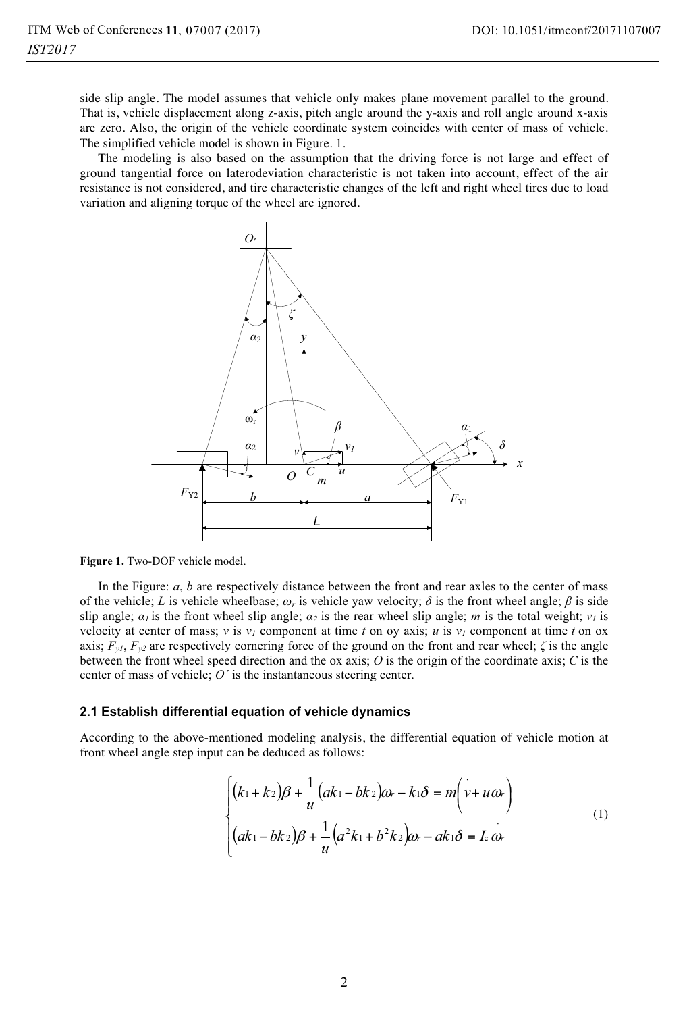side slip angle. The model assumes that vehicle only makes plane movement parallel to the ground. That is, vehicle displacement along z-axis, pitch angle around the y-axis and roll angle around x-axis are zero. Also, the origin of the vehicle coordinate system coincides with center of mass of vehicle. The simplified vehicle model is shown in Figure. 1.

The modeling is also based on the assumption that the driving force is not large and effect of ground tangential force on laterodeviation characteristic is not taken into account, effect of the air resistance is not considered, and tire characteristic changes of the left and right wheel tires due to load variation and aligning torque of the wheel are ignored.





In the Figure: *a*, *b* are respectively distance between the front and rear axles to the center of mass of the vehicle; *L* is vehicle wheelbase;  $\omega_r$  is vehicle yaw velocity;  $\delta$  is the front wheel angle;  $\beta$  is side slip angle;  $\alpha_1$  is the front wheel slip angle;  $\alpha_2$  is the rear wheel slip angle; *m* is the total weight;  $v_1$  is velocity at center of mass; *v* is  $v_1$  component at time *t* on oy axis; *u* is  $v_1$  component at time *t* on ox axis;  $F_{y1}$ ,  $F_{y2}$  are respectively cornering force of the ground on the front and rear wheel;  $\zeta$  is the angle between the front wheel speed direction and the ox axis; *O* is the origin of the coordinate axis; *C* is the center of mass of vehicle; *O´* is the instantaneous steering center.

#### **2.1 Establish differential equation of vehicle dynamics**

According to the above-mentioned modeling analysis, the differential equation of vehicle motion at front wheel angle step input can be deduced as follows:

$$
\begin{cases}\n(k_1 + k_2)\beta + \frac{1}{u}(ak_1 - bk_2)\omega_r - k_1\delta = m(v + u\omega_r) \\
(ak_1 - bk_2)\beta + \frac{1}{u}(a^2k_1 + b^2k_2)\omega_r - ak_1\delta = I_z\omega_r\n\end{cases}
$$
\n(1)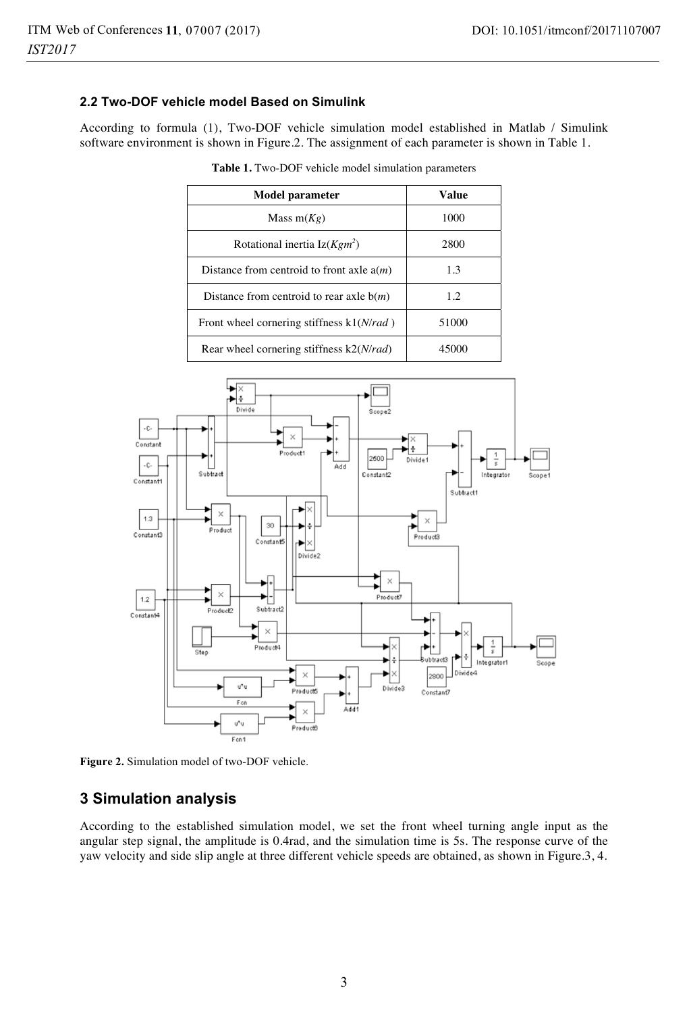### **2.2 Two-DOF vehicle model Based on Simulink**

According to formula (1), Two-DOF vehicle simulation model established in Matlab / Simulink software environment is shown in Figure.2. The assignment of each parameter is shown in Table 1.

| Model parameter                             | Value |
|---------------------------------------------|-------|
| Mass $m(Kg)$                                | 1000  |
| Rotational inertia $Iz(Kgm^2)$              | 2800  |
| Distance from centroid to front axle $a(m)$ | 13    |
| Distance from centroid to rear axle $b(m)$  | 1.2   |
| Front wheel cornering stiffness k1(N/rad)   | 51000 |
| Rear wheel cornering stiffness $k2(N/rad)$  | 45000 |

**Table 1.** Two-DOF vehicle model simulation parameters



**Figure 2.** Simulation model of two-DOF vehicle.

### **3 Simulation analysis**

According to the established simulation model, we set the front wheel turning angle input as the angular step signal, the amplitude is 0.4rad, and the simulation time is 5s. The response curve of the yaw velocity and side slip angle at three different vehicle speeds are obtained, as shown in Figure.3, 4.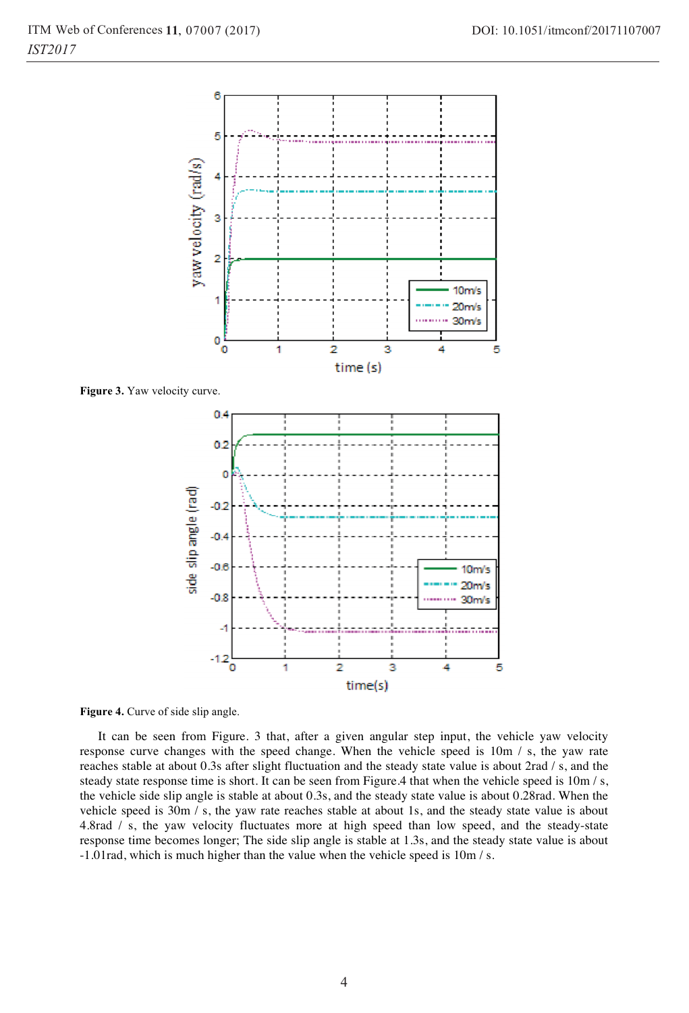

**Figure 4.** Curve of side slip angle.

It can be seen from Figure. 3 that, after a given angular step input, the vehicle yaw velocity response curve changes with the speed change. When the vehicle speed is 10m / s, the yaw rate reaches stable at about 0.3s after slight fluctuation and the steady state value is about 2rad / s, and the steady state response time is short. It can be seen from Figure.4 that when the vehicle speed is  $10m/s$ , the vehicle side slip angle is stable at about 0.3s, and the steady state value is about 0.28rad. When the vehicle speed is 30m / s, the yaw rate reaches stable at about 1s, and the steady state value is about 4.8rad / s, the yaw velocity fluctuates more at high speed than low speed, and the steady-state response time becomes longer; The side slip angle is stable at 1.3s, and the steady state value is about -1.01rad, which is much higher than the value when the vehicle speed is 10m / s.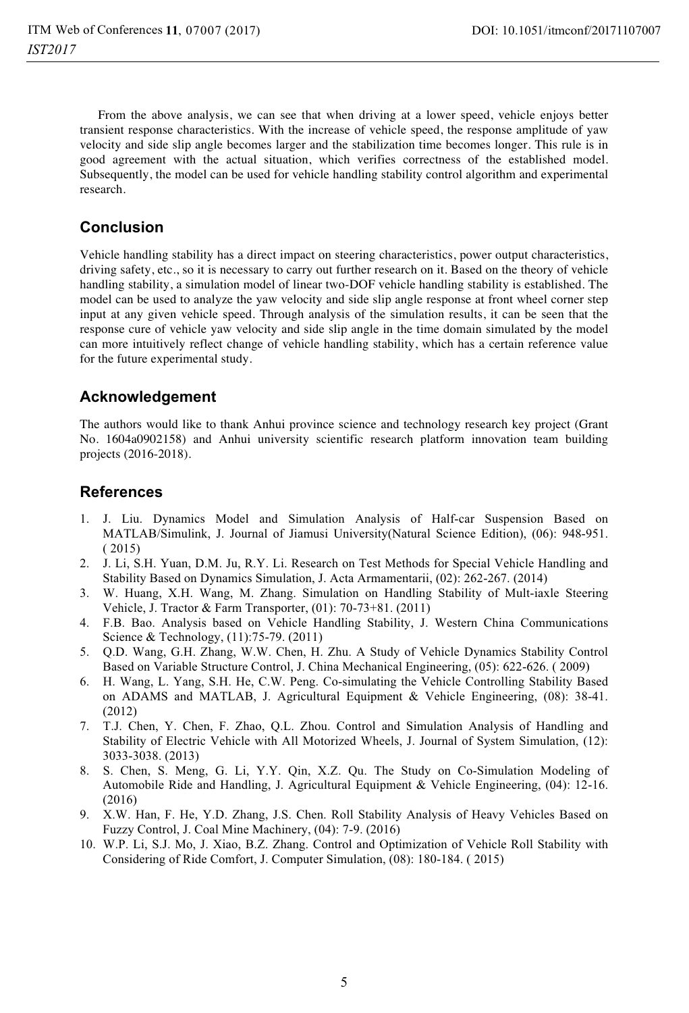From the above analysis, we can see that when driving at a lower speed, vehicle enjoys better transient response characteristics. With the increase of vehicle speed, the response amplitude of yaw velocity and side slip angle becomes larger and the stabilization time becomes longer. This rule is in good agreement with the actual situation, which verifies correctness of the established model. Subsequently, the model can be used for vehicle handling stability control algorithm and experimental research.

## **Conclusion**

Vehicle handling stability has a direct impact on steering characteristics, power output characteristics, driving safety, etc., so it is necessary to carry out further research on it. Based on the theory of vehicle handling stability, a simulation model of linear two-DOF vehicle handling stability is established. The model can be used to analyze the yaw velocity and side slip angle response at front wheel corner step input at any given vehicle speed. Through analysis of the simulation results, it can be seen that the response cure of vehicle yaw velocity and side slip angle in the time domain simulated by the model can more intuitively reflect change of vehicle handling stability, which has a certain reference value for the future experimental study.

### **Acknowledgement**

The authors would like to thank Anhui province science and technology research key project (Grant No. 1604a0902158) and Anhui university scientific research platform innovation team building projects (2016-2018).

### **References**

- 1. J. Liu. Dynamics Model and Simulation Analysis of Half-car Suspension Based on MATLAB/Simulink, J. Journal of Jiamusi University(Natural Science Edition), (06): 948-951. ( 2015)
- 2. J. Li, S.H. Yuan, D.M. Ju, R.Y. Li. Research on Test Methods for Special Vehicle Handling and Stability Based on Dynamics Simulation, J. Acta Armamentarii, (02): 262-267. (2014)
- 3. W. Huang, X.H. Wang, M. Zhang. Simulation on Handling Stability of Mult-iaxle Steering Vehicle, J. Tractor & Farm Transporter, (01): 70-73+81. (2011)
- 4. F.B. Bao. Analysis based on Vehicle Handling Stability, J. Western China Communications Science & Technology, (11):75-79. (2011)
- 5. Q.D. Wang, G.H. Zhang, W.W. Chen, H. Zhu. A Study of Vehicle Dynamics Stability Control Based on Variable Structure Control, J. China Mechanical Engineering, (05): 622-626. ( 2009)
- 6. H. Wang, L. Yang, S.H. He, C.W. Peng. Co-simulating the Vehicle Controlling Stability Based on ADAMS and MATLAB, J. Agricultural Equipment & Vehicle Engineering, (08): 38-41. (2012)
- 7. T.J. Chen, Y. Chen, F. Zhao, Q.L. Zhou. Control and Simulation Analysis of Handling and Stability of Electric Vehicle with All Motorized Wheels, J. Journal of System Simulation, (12): 3033-3038. (2013)
- 8. S. Chen, S. Meng, G. Li, Y.Y. Qin, X.Z. Qu. The Study on Co-Simulation Modeling of Automobile Ride and Handling, J. Agricultural Equipment & Vehicle Engineering, (04): 12-16. (2016)
- 9. X.W. Han, F. He, Y.D. Zhang, J.S. Chen. Roll Stability Analysis of Heavy Vehicles Based on Fuzzy Control, J. Coal Mine Machinery, (04): 7-9. (2016)
- 10. W.P. Li, S.J. Mo, J. Xiao, B.Z. Zhang. Control and Optimization of Vehicle Roll Stability with Considering of Ride Comfort, J. Computer Simulation, (08): 180-184. ( 2015)